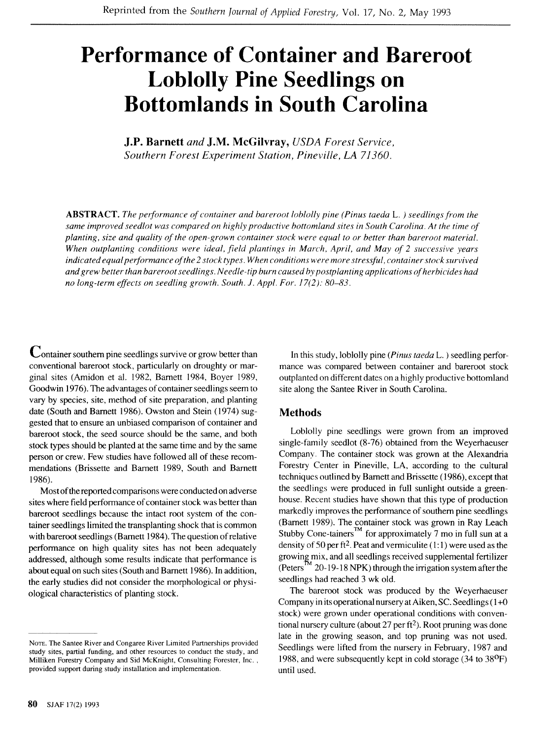# **Performance of Container and Bareroot Loblolly Pine Seedlings on Bottomlands in South Carolina**

**J.P. Barnett** *and* **J.M. McGilvray,** *USDA Forest Service, Southern Forest Experiment Station, Pineville, LA 71360.* 

*ABSTRACT. The performance of container and bareroot loblolly pine (Pinus taeda* L. ) *seedlings from the same improved seedlot was compared on highly productive bottomland sites in South Carolina. At the time of planting, size and quality of the open-grown container stock were equal to or better than bareroot material. When outplanting conditions were ideal, field plantings in March, April, and May of 2 successive years*  indicated equal performance of the 2 stock types. When conditions were more stressful, container stock survived *andgrew better than bareroot seedlings. Needle-tip burn caused by postplanting app1ication.s of herbicides had no long-term effects on seedling growth. South. J. Appl. For. 17(2): 80-83.* 

Container southern pine seedlings survive or grow better than conventional bareroot stock, particularly on droughty or marginal sites (Amidon et al. 1982, Bamett 1984, Boyer 1989, Goodwin 1976). The advantages of container seedlings seem to vary by species, site, method of site preparation, and planting date (South and Bamett 1986). Owston and Stein (1974) suggested that to ensure an unbiased comparison of container and bareroot stock, the seed source should be the same, and both stock types should be planted at the same time and by the same person or crew. Few studies have followed all of these recommendations (Brissette and Bamett 1989, South and Bamett 1986).

Most of the reported comparisons were conducted on adverse sites where field performance of container stock was better than bareroot seedlings because the intact root system of the container seedlings limited the transplanting shock that is common with bareroot seedlings (Bamett 1984). The question of relative performance on high quality sites has not been adequately addressed, although some results indicate that performance is about equal on such sites (South and Barnett 1986). In addition, the early studies did not consider the morphological or physiological characteristics of planting stock.

In this study, loblolly pine *(Pinus taeda* L. ) seedling performance was compared between container and bareroot stock outplanted on different dates on a highly productive bottomland site along the Santee River in South Carolina.

## **Methods**

Loblolly pine seedlings were grown from an improved single-family seedlot (8-76) obtained from the Weyerhaeuser Company. The container stock was grown at the Alexandria Forestry Center in Pineville, LA, according to the cultural techniques outlined by Barnett and Brissette (1986), except that the seedlings were produced in full sunlight outside a greenhouse. Recent studies have shown that this type of production markedly improves the performance of southern pine seedlings (Bamett 1989). The container stock was grown in Ray Leach Stubby Cone-tainers<sup>TM</sup> for approximately 7 mo in full sun at a density of 50 per ft<sup>2</sup>. Peat and vermiculite  $(1:1)$  were used as the growing mix, and all seedlings received supplemental fertilizer (Peters <sup>IM</sup> 20-19-18 NPK) through the irrigation system after the seedlings had reached 3 wk old.

The bareroot stock was produced by the Weyerhaeuser Company in its operational nursery at Aiken, SC. Seedlings (I +O stock) were grown under operational conditions with conventional nursery culture (about 27 per ft2). Root pruning was done late in the growing season, and top pruning was not used. Seedlings were lifted from the nursery in February, 1987 and 1988, and were subsequently kept in cold storage  $(34 \text{ to } 38^{\circ}F)$ until used.

NOTE. The Santee River and Congaree River Limited Partnerships provided study sites, partial funding, and other resources to conduct the study, and Milliken Forestry Company and Sid McKnight, Consulting Forester, Inc. , provided support during study installation and implementation.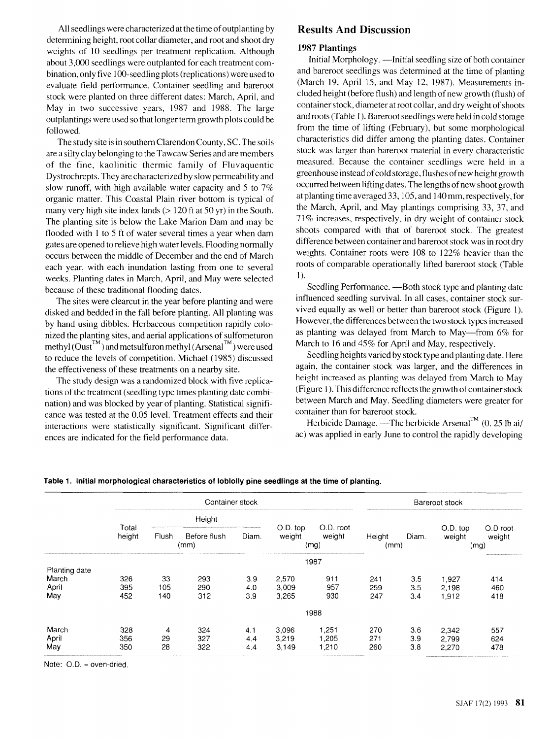All seedlings were characterized at the time of outplanting by determining height, root collar diameter, and root and shoot dry weights of 10 seedlings per treatment replication. Although about 3,000 seedlings were outplanted for each treatment combination, only five 100-seedling plots (replications) were used to evaluate field performance. Container seedling and bareroot stock were planted on three different dates: March, April, and May in two successive years, 1987 and 1988. The large outplantings were used so that longer term growth plots could be followed.

The study site is in southern ClarendonCounty, SC. The soils are a silty clay belonging to the Tawcaw Series and are members of the fine, kaolinitic thermic family of Fluvaquentic Dystrochrepts. They are characterized by slow permeability and slow runoff, with high available water capacity and 5 to 7% organic matter. This Coastal Plain river bottom is typical of many very high site index lands (> 120 ft at 50 yr) in the South. The planting site is below the Lake Marion Dam and may be flooded with 1 to 5 ft of water several times a year when dam gates are opened to relieve high water levels. Flooding normally occurs between the middle of December and the end of March each year, with each inundation lasting from one to several weeks. Planting dates in March, April, and May were selected because of these traditional flooding dates.

The sites were clearcut in the year before planting and were disked and bedded in the fall before planting. All planting was by hand using dibbles. Herbaceous competition rapidly colonized the planting sites, and aerial applications of sulfometuron  $methyl (Oust<sup>TM</sup>)$  and metsulfuron methyl (Arsenal $^{TM}$ ) were used to reduce the levels of competition. Michael (1985) discussed the effectiveness of these treatments on a nearby site.

The study design was a randomized block with five replications of the treatment (seedling type times planting date combination) and was blocked by year of planting. Statistical significance was tested at the 0.05 level. Treatment effects and their interactions were statistically significant. Significant differences are indicated for the field performance data.

## **Results And Discussion**

#### **1987 Plantings**

Initial Morphology. —Initial seedling size of both container and bareroot seedlings was determined at the time of planting (March 19, April 15, and May 12, 1987). Measurements included height (before flush) and length of new growth (flush) of container stock, diameter at root collar, and dry weight of shoots and roots (Table 1). Bareroot seedlings were held in cold storage from the time of lifting (February), but some morphological characteristics did differ among the planting dates. Container stock was larger than bareroot material in every characteristic measured. Because the container seedlings were held in a greenhouse instead of cold storage, flushes ofnew height growth occurred between lifting dates. The lengths of new shoot growth at planting time averaged 33,105, and 140 mm, respectively, for the March, April, and May plantings comprising 33, 37, and 7 1 % increases, respectively, in dry weight of container stock shoots compared with that of bareroot stock. The greatest difference between container and bareroot stock was in root dry weights. Container roots were 108 to 122% heavier than the roots of comparable operationally lifted bareroot stock (Table 1).

Seedling Performance. - Both stock type and planting date influenced seedling survival. In all cases, container stock survived equally as well or better than bareroot stock (Figure 1). However, the differences between the two stock types increased as planting was delayed from March to May-from 6% for March to I6 and 45% for April and May, respectively.

Seedling heights varied by stock type and planting date. Here again, the container stock was larger, and the differences in height increased as planting was delayed from March to May (Figure 1). This difference reflects the growth of container stock between March and May. Seedling diameters were greater for container than for bareroot stock.

Herbicide Damage. —The herbicide Arsenal<sup>TM</sup> (0. 25 lb ai/ ac) was applied in early June to control the rapidly developing

#### **Table 1. Initial morphological characteristics of loblolly pine seedlings at the time of planting.**

|               | Container stock |        |                      |       |                    | Bareroot stock              |                |       |                    |                            |
|---------------|-----------------|--------|----------------------|-------|--------------------|-----------------------------|----------------|-------|--------------------|----------------------------|
|               | Total<br>height | Height |                      |       |                    |                             |                |       |                    |                            |
|               |                 | Flush  | Before flush<br>(mm) | Diam. | O.D. top<br>weight | O.D. root<br>weight<br>(mg) | Height<br>(mm) | Diam. | O.D. top<br>weight | O.D root<br>weight<br>(mg) |
|               |                 | 1987   |                      |       |                    |                             |                |       |                    |                            |
| Planting date |                 |        |                      |       |                    |                             |                |       |                    |                            |
| March         | 326             | 33     | 293                  | 3.9   | 2,570              | 911                         | 241            | 3.5   | 1,927              | 414                        |
| April         | 395             | 105    | 290                  | 4.0   | 3,009              | 957                         | 259            | 3.5   | 2.198              | 460                        |
| May           | 452             | 140    | 312                  | 3.9   | 3.265              | 930                         | 247            | 3.4   | 1,912              | 418                        |
|               |                 | 1988   |                      |       |                    |                             |                |       |                    |                            |
| March         | 328             | 4      | 324                  | 4,1   | 3.096              | 1,251                       | 270            | 3.6   | 2,342              | 557                        |
| April         | 356             | 29     | 327                  | 4.4   | 3.219              | 1.205                       | 271            | 3.9   | 2,799              | 624                        |
| May           | 350             | 28     | 322                  | 4.4   | 3.149              | 1.210                       | 260            | 3.8   | 2.270              | 478                        |

Note: O.D. = oven-dried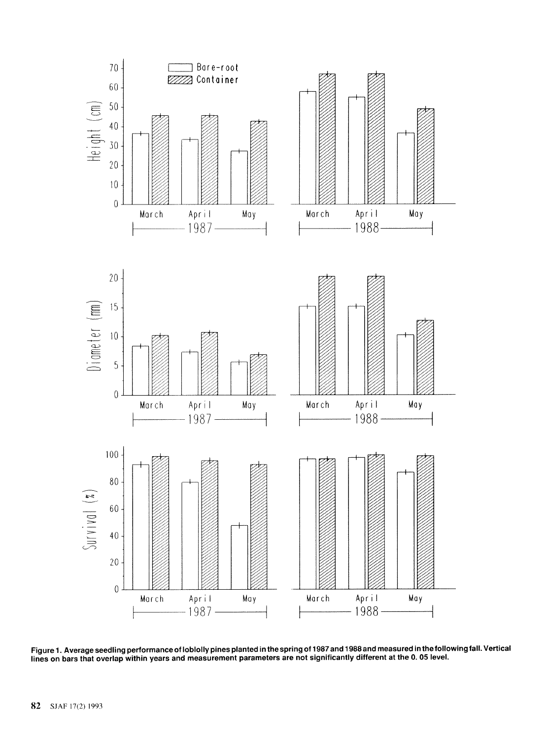

Figure 1. Average seedling performance of loblolly pines planted in the spring of 1987 and 1988 and measured in the following fall. Vertical **lines on bars that overlap within years and measurement parameters are not significantly different at the 0.05 level.**